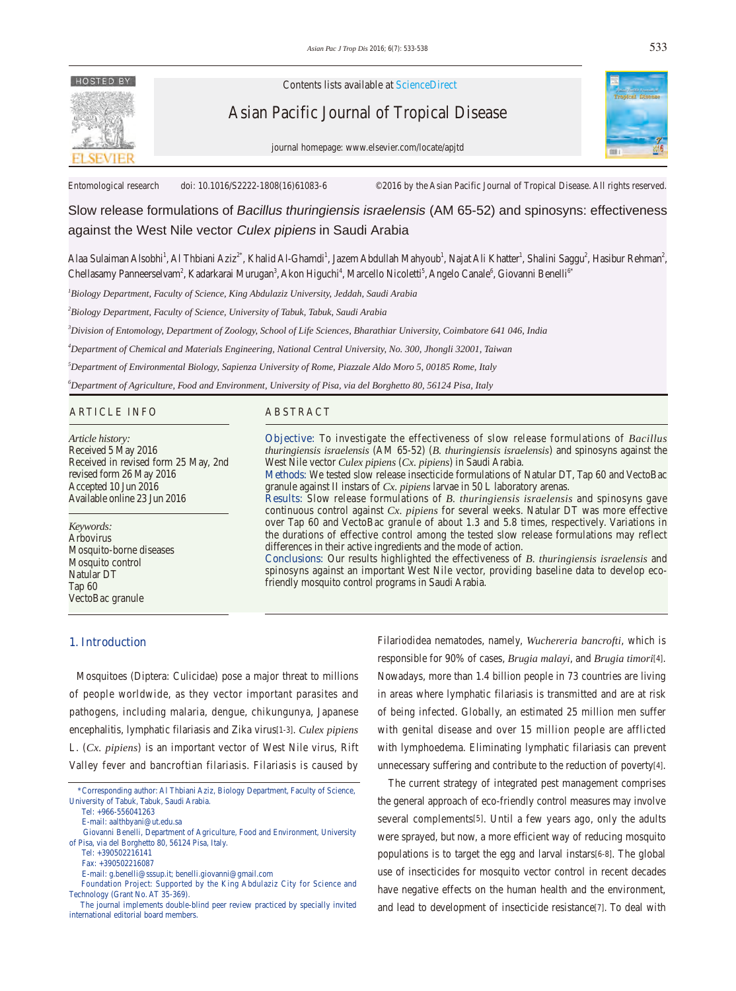

Contents lists available at ScienceDirect

Asian Pacific Journal of Tropical Disease



journal homepage: www.elsevier.com/locate/apjtd

Entomological research doi: 10.1016/S2222-1808(16)61083-6 ©2016 by the Asian Pacific Journal of Tropical Disease. All rights reserved.

Slow release formulations of Bacillus thuringiensis israelensis (AM 65-52) and spinosyns: effectiveness against the West Nile vector Culex pipiens in Saudi Arabia

Alaa Sulaiman Alsobhi<sup>1</sup>, Al Thbiani Aziz<sup>2\*</sup>, Khalid Al-Ghamdi<sup>1</sup>, Jazem Abdullah Mahyoub<sup>1</sup>, Najat Ali Khatter<sup>1</sup>, Shalini Saggu<sup>2</sup>, Hasibur Rehman<sup>2</sup>, Chellasamy Panneerselvam<sup>2</sup>, Kadarkarai Murugan<sup>3</sup>, Akon Higuchi<sup>4</sup>, Marcello Nicoletti<sup>5</sup>, Angelo Canale<sup>6</sup>, Giovanni Benelli<sup>64</sup>

*1 Biology Department, Faculty of Science, King Abdulaziz University, Jeddah, Saudi Arabia*

*2 Biology Department, Faculty of Science, University of Tabuk, Tabuk, Saudi Arabia*

*3 Division of Entomology, Department of Zoology, School of Life Sciences, Bharathiar University, Coimbatore 641 046, India*

*4 Department of Chemical and Materials Engineering, National Central University, No. 300, Jhongli 32001, Taiwan*

*5 Department of Environmental Biology, Sapienza University of Rome, Piazzale Aldo Moro 5, 00185 Rome, Italy*

*6 Department of Agriculture, Food and Environment, University of Pisa, via del Borghetto 80, 56124 Pisa, Italy*

# ARTICLE INFO ABSTRACT

*Article history:* Received 5 May 2016 Received in revised form 25 May, 2nd revised form 26 May 2016 Accepted 10 Jun 2016 Available online 23 Jun 2016

*Keywords:* Arbovirus Mosquito-borne diseases Mosquito control Natular DT Tap 60 VectoBac granule

**Objective:** To investigate the effectiveness of slow release formulations of *Bacillus thuringiensis israelensis* (AM 65-52) (*B. thuringiensis israelensis*) and spinosyns against the West Nile vector *Culex pipiens* (*Cx. pipiens*) in Saudi Arabia.

**Methods:** We tested slow release insecticide formulations of Natular DT, Tap 60 and VectoBac granule against II instars of *Cx. pipiens* larvae in 50 L laboratory arenas.

**Results:** Slow release formulations of *B. thuringiensis israelensis* and spinosyns gave continuous control against *Cx. pipiens* for several weeks. Natular DT was more effective over Tap 60 and VectoBac granule of about 1.3 and 5.8 times, respectively. Variations in the durations of effective control among the tested slow release formulations may reflect differences in their active ingredients and the mode of action.

**Conclusions:** Our results highlighted the effectiveness of *B. thuringiensis israelensis* and spinosyns against an important West Nile vector, providing baseline data to develop ecofriendly mosquito control programs in Saudi Arabia.

# **1. Introduction**

 Mosquitoes (Diptera: Culicidae) pose a major threat to millions of people worldwide, as they vector important parasites and pathogens, including malaria, dengue, chikungunya, Japanese encephalitis, lymphatic filariasis and Zika virus[1-3]. *Culex pipiens* L. (*Cx. pipiens*) is an important vector of West Nile virus, Rift Valley fever and bancroftian filariasis. Filariasis is caused by

Tel: +966-556041263

E-mail: aalthbyani@ut.edu.sa

E-mail: g.benelli@sssup.it; benelli.giovanni@gmail.com

 Foundation Project: Supported by the King Abdulaziz City for Science and Technology (Grant No. AT 35-369).

Filariodidea nematodes, namely, *Wuchereria bancrofti*, which is responsible for 90% of cases, *Brugia malayi*, and *Brugia timori*[4]. Nowadays, more than 1.4 billion people in 73 countries are living in areas where lymphatic filariasis is transmitted and are at risk of being infected. Globally, an estimated 25 million men suffer with genital disease and over 15 million people are afflicted with lymphoedema. Eliminating lymphatic filariasis can prevent unnecessary suffering and contribute to the reduction of poverty[4].

 The current strategy of integrated pest management comprises the general approach of eco-friendly control measures may involve several complements[5]. Until a few years ago, only the adults were sprayed, but now, a more efficient way of reducing mosquito populations is to target the egg and larval instars[6-8]. The global use of insecticides for mosquito vector control in recent decades have negative effects on the human health and the environment, and lead to development of insecticide resistance[7]. To deal with

 <sup>\*</sup>Corresponding author: Al Thbiani Aziz, Biology Department, Faculty of Science, University of Tabuk, Tabuk, Saudi Arabia.

Giovanni Benelli, Department of Agriculture, Food and Environment, University of Pisa, via del Borghetto 80, 56124 Pisa, Italy.

Tel: +390502216141

Fax: +390502216087

The journal implements double-blind peer review practiced by specially invited international editorial board members.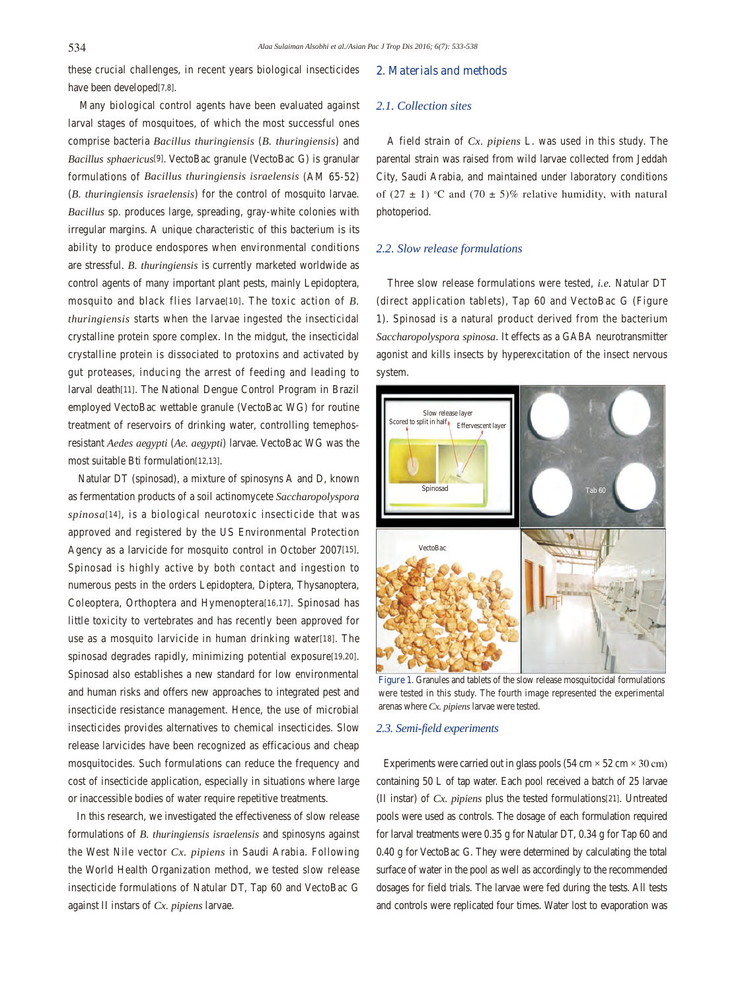these crucial challenges, in recent years biological insecticides have been developed[7,8].

 Many biological control agents have been evaluated against larval stages of mosquitoes, of which the most successful ones comprise bacteria *Bacillus thuringiensis* (*B. thuringiensis*) and *Bacillus sphaericus*[9]. VectoBac granule (VectoBac G) is granular formulations of *Bacillus thuringiensis israelensis* (AM 65-52) (*B. thuringiensis israelensis*) for the control of mosquito larvae. *Bacillus* sp. produces large, spreading, gray-white colonies with irregular margins. A unique characteristic of this bacterium is its ability to produce endospores when environmental conditions are stressful. *B. thuringiensis* is currently marketed worldwide as control agents of many important plant pests, mainly Lepidoptera, mosquito and black flies larvae[10]. The toxic action of *B. thuringiensis* starts when the larvae ingested the insecticidal crystalline protein spore complex. In the midgut, the insecticidal crystalline protein is dissociated to protoxins and activated by gut proteases, inducing the arrest of feeding and leading to larval death[11]. The National Dengue Control Program in Brazil employed VectoBac wettable granule (VectoBac WG) for routine treatment of reservoirs of drinking water, controlling temephosresistant *Aedes aegypti* (*Ae. aegypti*) larvae. VectoBac WG was the most suitable Bti formulation[12,13].

 Natular DT (spinosad), a mixture of spinosyns A and D, known as fermentation products of a soil actinomycete *Saccharopolyspora spinosa*[14], is a biological neurotoxic insecticide that was approved and registered by the US Environmental Protection Agency as a larvicide for mosquito control in October 2007[15]. Spinosad is highly active by both contact and ingestion to numerous pests in the orders Lepidoptera, Diptera, Thysanoptera, Coleoptera, Orthoptera and Hymenoptera[16,17]. Spinosad has little toxicity to vertebrates and has recently been approved for use as a mosquito larvicide in human drinking water[18]. The spinosad degrades rapidly, minimizing potential exposure[19,20]. Spinosad also establishes a new standard for low environmental and human risks and offers new approaches to integrated pest and insecticide resistance management. Hence, the use of microbial insecticides provides alternatives to chemical insecticides. Slow release larvicides have been recognized as efficacious and cheap mosquitocides. Such formulations can reduce the frequency and cost of insecticide application, especially in situations where large or inaccessible bodies of water require repetitive treatments.

 In this research, we investigated the effectiveness of slow release formulations of *B. thuringiensis israelensis* and spinosyns against the West Nile vector *Cx. pipiens* in Saudi Arabia. Following the World Health Organization method, we tested slow release insecticide formulations of Natular DT, Tap 60 and VectoBac G against II instars of *Cx. pipiens* larvae.

## **2. Materials and methods**

## *2.1. Collection sites*

 A field strain of *Cx. pipiens* L. was used in this study. The parental strain was raised from wild larvae collected from Jeddah City, Saudi Arabia, and maintained under laboratory conditions of (27  $\pm$  1) °C and (70  $\pm$  5)% relative humidity, with natural photoperiod.

# *2.2. Slow release formulations*

 Three slow release formulations were tested, *i.e.* Natular DT (direct application tablets), Tap 60 and VectoBac G (Figure 1). Spinosad is a natural product derived from the bacterium *Saccharopolyspora spinosa*. It effects as a GABA neurotransmitter agonist and kills insects by hyperexcitation of the insect nervous system.



**Figure 1.** Granules and tablets of the slow release mosquitocidal formulations were tested in this study. The fourth image represented the experimental arenas where *Cx. pipiens* larvae were tested.

## *2.3. Semi-field experiments*

Experiments were carried out in glass pools  $(54 \text{ cm} \times 52 \text{ cm} \times 30 \text{ cm})$ containing 50 L of tap water. Each pool received a batch of 25 larvae (II instar) of *Cx. pipiens* plus the tested formulations[21]. Untreated pools were used as controls. The dosage of each formulation required for larval treatments were 0.35 g for Natular DT, 0.34 g for Tap 60 and 0.40 g for VectoBac G. They were determined by calculating the total surface of water in the pool as well as accordingly to the recommended dosages for field trials. The larvae were fed during the tests. All tests and controls were replicated four times. Water lost to evaporation was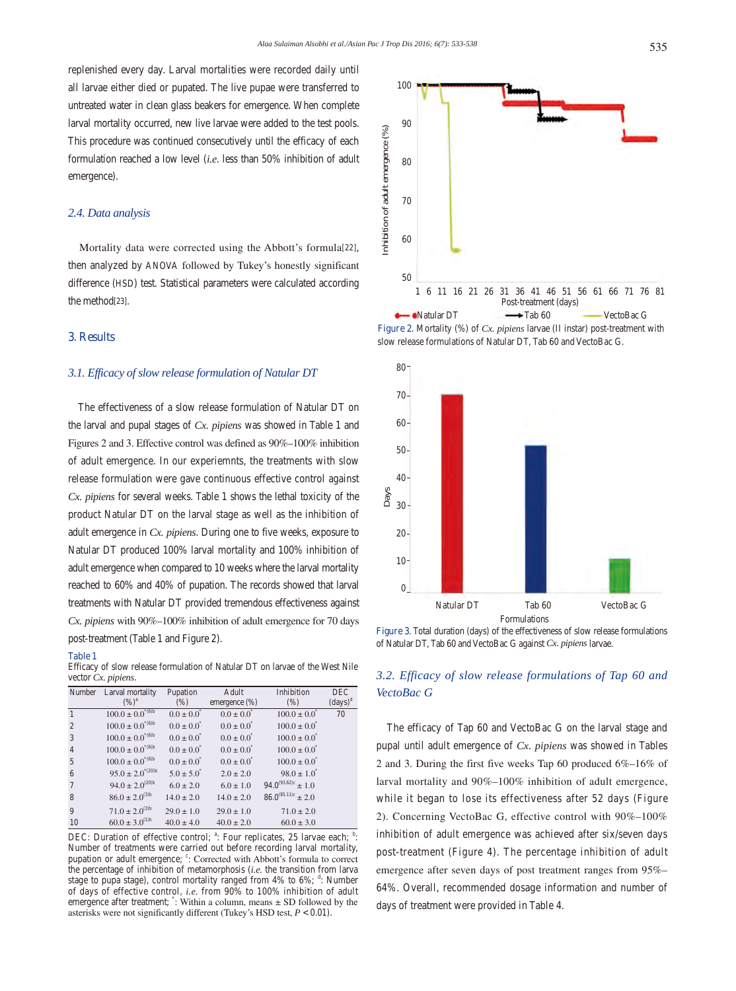## *2.4. Data analysis*

 Mortality data were corrected using the Abbott's formula[22], then analyzed by ANOVA followed by Tukey's honestly significant difference (HSD) test. Statistical parameters were calculated according the method[23].

# **3. Results**

# *3.1. Efficacy of slow release formulation of Natular DT*

 The effectiveness of a slow release formulation of Natular DT on the larval and pupal stages of *Cx. pipiens* was showed in Table 1 and Figures 2 and 3. Effective control was defined as 90%–100% inhibition of adult emergence. In our experiemnts, the treatments with slow release formulation were gave continuous effective control against *Cx. pipiens* for several weeks. Table 1 shows the lethal toxicity of the product Natular DT on the larval stage as well as the inhibition of adult emergence in *Cx. pipiens*. During one to five weeks, exposure to Natular DT produced 100% larval mortality and 100% inhibition of adult emergence when compared to 10 weeks where the larval mortality reached to 60% and 40% of pupation. The records showed that larval treatments with Natular DT provided tremendous effectiveness against *Cx. pipiens* with 90%–100% inhibition of adult emergence for 70 days post-treatment (Table 1 and Figure 2).

### **Table 1**

Efficacy of slow release formulation of Natular DT on larvae of the West Nile vector *Cx. pipiens*.

| Number          | Larval mortality        | Pupation              | Adult                 | Inhibition                | <b>DEC</b>                   |
|-----------------|-------------------------|-----------------------|-----------------------|---------------------------|------------------------------|
|                 | $(%)^a$                 | (% )                  | emergence (%)         | (% )                      | $\left(\text{days}\right)^d$ |
| $\mathbf{1}$    | $100.0 \pm 0.0^{*(6)b}$ | $0.0 \pm 0.0^{\circ}$ | $0.0 \pm 0.0^{\circ}$ | $100.0 \pm 0.0^{\circ}$   | 70                           |
| 2               | $100.0 \pm 0.0^{*(6)b}$ | $0.0 \pm 0.0^{\circ}$ | $0.0 \pm 0.0^{\circ}$ | $100.0 \pm 0.0^{\circ}$   |                              |
| 3               | $100.0 \pm 0.0^{*(6)b}$ | $0.0 \pm 0.0^{\circ}$ | $0.0 \pm 0.0^{\circ}$ | $100.0 \pm 0.0^{\circ}$   |                              |
| $\overline{4}$  | $100.0 \pm 0.0^{*(6)b}$ | $0.0 \pm 0.0^{\circ}$ | $0.0 \pm 0.0^{\circ}$ | $100.0 \pm 0.0^{\circ}$   |                              |
| 5               | $100.0 \pm 0.0^{*(6)b}$ | $0.0 \pm 0.0^{\circ}$ | $0.0 \pm 0.0^{\circ}$ | $100.0 \pm 0.0^{\circ}$   |                              |
| 6               | $95.0 \pm 2.0^{*(20)b}$ | $5.0 \pm 5.0^{\circ}$ | $2.0 \pm 2.0$         | $98.0 \pm 1.0^{\circ}$    |                              |
| $7\phantom{.0}$ | $94.0 \pm 2.0^{(20)b}$  | $6.0 \pm 2.0$         | $6.0 \pm 1.0$         | $94.0^{(93.62)c} \pm 1.0$ |                              |
| 8               | $86.0 \pm 2.0^{(3)b}$   | $14.0 \pm 2.0$        | $14.0 \pm 2.0$        | $86.0^{(85.11)c} \pm 2.0$ |                              |
| $\overline{9}$  | $71.0 \pm 2.0^{(3)b}$   | $29.0 \pm 1.0$        | $29.0 \pm 1.0$        | $71.0 \pm 2.0$            |                              |
| 10              | $60.0 \pm 3.0^{(1)b}$   | $40.0 \pm 4.0$        | $40.0 \pm 2.0$        | $60.0 \pm 3.0$            |                              |

DEC: Duration of effective control; <sup>a</sup>: Four replicates, 25 larvae each; <sup>b</sup>: Number of treatments were carried out before recording larval mortality, pupation or adult emergence; <sup>c</sup>: Corrected with Abbott's formula to correct the percentage of inhibition of metamorphosis (*i.e.* the transition from larva stage to pupa stage), control mortality ranged from  $4\%$  to  $6\%$ ;  $\frac{d}{d}$ : Number of days of effective control, *i.e.* from 90% to 100% inhibition of adult emergence after treatment;  $\cdot$ : Within a column, means  $\pm$  SD followed by the asterisks were not significantly different (Tukey's HSD test, *P* < 0.01).



**Figure 2.** Mortality (%) of *Cx. pipiens* larvae (II instar) post-treatment with slow release formulations of Natular DT, Tab 60 and VectoBac G.



**Figure 3.** Total duration (days) of the effectiveness of slow release formulations of Natular DT, Tab 60 and VectoBac G against *Cx. pipiens* larvae.

# *3.2. Efficacy of slow release formulations of Tap 60 and VectoBac G*

 The efficacy of Tap 60 and VectoBac G on the larval stage and pupal until adult emergence of *Cx. pipiens* was showed in Tables 2 and 3. During the first five weeks Tap 60 produced 6%–16% of larval mortality and 90%–100% inhibition of adult emergence, while it began to lose its effectiveness after 52 days (Figure 2). Concerning VectoBac G, effective control with 90%–100% inhibition of adult emergence was achieved after six/seven days post-treatment (Figure 4). The percentage inhibition of adult emergence after seven days of post treatment ranges from 95%– 64%. Overall, recommended dosage information and number of days of treatment were provided in Table 4.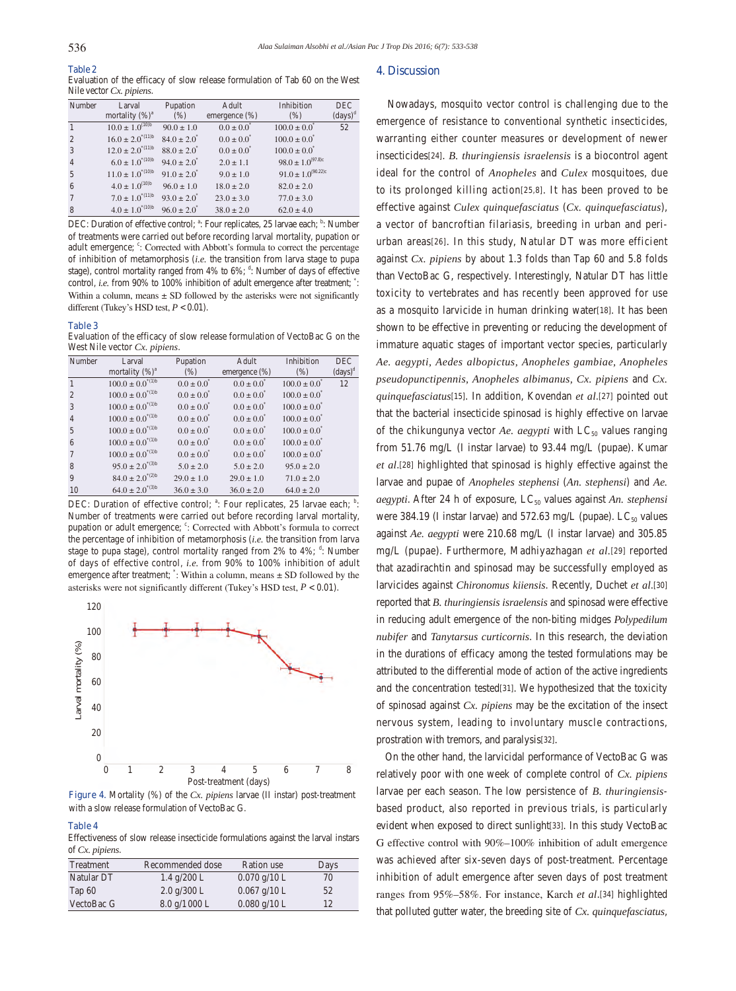**Table 2** Evaluation of the efficacy of slow release formulation of Tab 60 on the West Nile vector *Cx. pipiens*.

| Number         | Larval                          | Pupation               | Adult                 | Inhibition                | <b>DEC</b>                   |
|----------------|---------------------------------|------------------------|-----------------------|---------------------------|------------------------------|
|                | mortality $(\%)^a$              | (% )                   | emergence (%)         | (% )                      | $\left(\text{days}\right)^d$ |
|                | $10.0 \pm 1.0$ <sup>(10)b</sup> | $90.0 \pm 1.0$         | $0.0 \pm 0.0^{\circ}$ | $100.0 \pm 0.0^*$         | 52                           |
| $\overline{2}$ | $16.0 \pm 2.0^{*(11)b}$         | $84.0 \pm 2.0^*$       | $0.0 \pm 0.0^{\circ}$ | $100.0 \pm 0.0^*$         |                              |
| 3              | $12.0 \pm 2.0^{*(11)b}$         | $88.0 \pm 2.0^*$       | $0.0 \pm 0.0^{\circ}$ | $100.0 \pm 0.0^{\circ}$   |                              |
| $\overline{4}$ | $6.0 \pm 1.0^{*(10)b}$          | $94.0 \pm 2.0^{\circ}$ | $2.0 \pm 1.1$         | $98.0 \pm 1.0^{(97.8)c}$  |                              |
| 5              | $11.0 \pm 1.0^{(10)b}$          | $91.0 \pm 2.0^{\circ}$ | $9.0 \pm 1.0$         | $91.0 \pm 1.0^{(90.22)c}$ |                              |
| 6              | $4.0 \pm 1.0$ <sup>(10)b</sup>  | $96.0 \pm 1.0$         | $18.0 \pm 2.0$        | $82.0 \pm 2.0$            |                              |
| 7              | $7.0 \pm 1.0^{*(11)b}$          | $93.0 \pm 2.0^{\circ}$ | $23.0 \pm 3.0$        | $77.0 \pm 3.0$            |                              |
| 8              | $4.0 \pm 1.0^{*(10)b}$          | $96.0 \pm 2.0^{\circ}$ | $38.0 \pm 2.0$        | $62.0 \pm 4.0$            |                              |

DEC: Duration of effective control; <sup>a</sup>: Four replicates, 25 larvae each; <sup>b</sup>: Number of treatments were carried out before recording larval mortality, pupation or adult emergence; ": Corrected with Abbott's formula to correct the percentage of inhibition of metamorphosis (*i.e.* the transition from larva stage to pupa stage), control mortality ranged from  $4\%$  to  $6\%$ ;  $\frac{d}{dx}$ : Number of days of effective control, *i.e.* from 90% to 100% inhibition of adult emergence after treatment;  $\ddot{\cdot}$ : Within a column, means  $\pm$  SD followed by the asterisks were not significantly different (Tukey's HSD test, *P* < 0.01).

#### **Table 3**

Evaluation of the efficacy of slow release formulation of VectoBac G on the West Nile vector *Cx. pipiens*.

| Number         | Larval                  | Pupation              | Adult                 | Inhibition                   | <b>DEC</b>                   |
|----------------|-------------------------|-----------------------|-----------------------|------------------------------|------------------------------|
|                | mortality $(\%)^a$      | (% )                  | emergence (%)         | (% )                         | $\left(\text{days}\right)^d$ |
|                | $100.0 \pm 0.0^{*(1)b}$ | $0.0 \pm 0.0^{\circ}$ | $0.0 \pm 0.0^{\circ}$ | $100.0 \pm 0.0^{\circ}$      | 12                           |
| $\mathcal{D}$  | $100.0 \pm 0.0^{*(1)b}$ | $0.0 \pm 0.0^{\circ}$ | $0.0 \pm 0.0^{\circ}$ | $100.0 \pm 0.0^*$            |                              |
| 3              | $100.0 \pm 0.0^{*(1)b}$ | $0.0 \pm 0.0^{\circ}$ | $0.0 \pm 0.0^{\circ}$ | $100.0 \pm 0.0^{\circ}$      |                              |
| $\overline{4}$ | $100.0 \pm 0.0^{*(1)b}$ | $0.0 \pm 0.0^{\circ}$ | $0.0 \pm 0.0^{\circ}$ | $100.0 \pm 0.0^{\circ}$      |                              |
| 5              | $100.0 \pm 0.0^{*(1)b}$ | $0.0 \pm 0.0^{\circ}$ | $0.0 \pm 0.0^{\circ}$ | $100.0 \pm 0.0^{\circ}$      |                              |
| 6              | $100.0 \pm 0.0^{*(1)b}$ | $0.0 \pm 0.0^{\circ}$ | $0.0 \pm 0.0^{\circ}$ | $100.0 \pm 0.0$ <sup>*</sup> |                              |
| 7              | $100.0 \pm 0.0^{*(1)b}$ | $0.0 \pm 0.0^{\circ}$ | $0.0 \pm 0.0^{\circ}$ | $100.0 \pm 0.0^{\circ}$      |                              |
| 8              | $95.0 \pm 2.0^{*(3)b}$  | $5.0 \pm 2.0$         | $5.0 \pm 2.0$         | $95.0 \pm 2.0$               |                              |
| 9              | $84.0 \pm 2.0^{*(2)b}$  | $29.0 \pm 1.0$        | $29.0 \pm 1.0$        | $71.0 \pm 2.0$               |                              |
| 10             | $64.0 \pm 2.0^{*(3)b}$  | $36.0 \pm 3.0$        | $36.0 \pm 2.0$        | $64.0 \pm 2.0$               |                              |

DEC: Duration of effective control; <sup>a</sup>: Four replicates, 25 larvae each; <sup>b</sup>: Number of treatments were carried out before recording larval mortality, pupation or adult emergence; <sup>c</sup>: Corrected with Abbott's formula to correct the percentage of inhibition of metamorphosis (*i.e.* the transition from larva stage to pupa stage), control mortality ranged from  $2\%$  to  $4\%$ ;  $\frac{d}{dx}$ : Number of days of effective control, *i.e.* from 90% to 100% inhibition of adult emergence after treatment;  $\ddot{\cdot}$ : Within a column, means  $\pm$  SD followed by the asterisks were not significantly different (Tukey's HSD test, *P* < 0.01).



**Figure 4.** Mortality (%) of the *Cx. pipiens* larvae (II instar) post-treatment with a slow release formulation of VectoBac G.

#### **Table 4**

Effectiveness of slow release insecticide formulations against the larval instars of *Cx. pipiens*.

| Treatment  | Recommended dose              | Ration use     | Days |
|------------|-------------------------------|----------------|------|
| Natular DT | $1.4 \text{ g}/200 \text{ L}$ | $0.070$ g/10 L | 70   |
| Tap $60$   | $2.0$ g/300 L                 | $0.067$ g/10 L | 52   |
| VectoBac G | $8.0 \frac{\text{g}}{1000}$ L | $0.080$ g/10 L | 12   |

### **4. Discussion**

 Nowadays, mosquito vector control is challenging due to the emergence of resistance to conventional synthetic insecticides, warranting either counter measures or development of newer insecticides[24]. *B. thuringiensis israelensis* is a biocontrol agent ideal for the control of *Anopheles* and *Culex* mosquitoes, due to its prolonged killing action[25,8]. It has been proved to be effective against *Culex quinquefasciatus* (*Cx. quinquefasciatus*), a vector of bancroftian filariasis, breeding in urban and periurban areas[26]. In this study, Natular DT was more efficient against *Cx. pipiens* by about 1.3 folds than Tap 60 and 5.8 folds than VectoBac G, respectively. Interestingly, Natular DT has little toxicity to vertebrates and has recently been approved for use as a mosquito larvicide in human drinking water[18]. It has been shown to be effective in preventing or reducing the development of immature aquatic stages of important vector species, particularly *Ae. aegypti, Aedes albopictus, Anopheles gambiae, Anopheles pseudopunctipennis, Anopheles albimanus, Cx. pipiens* and *Cx. quinquefasciatus*[15]. In addition, Kovendan *et al*.[27] pointed out that the bacterial insecticide spinosad is highly effective on larvae of the chikungunya vector *Ae. aegypti* with  $LC_{50}$  values ranging from 51.76 mg/L (I instar larvae) to 93.44 mg/L (pupae). Kumar *et al*.[28] highlighted that spinosad is highly effective against the larvae and pupae of *Anopheles stephensi* (*An. stephensi*) and *Ae. aegypti*. After 24 h of exposure, LC<sub>50</sub> values against *An. stephensi* were 384.19 (I instar larvae) and 572.63 mg/L (pupae).  $LC_{50}$  values against *Ae. aegypti* were 210.68 mg/L (I instar larvae) and 305.85 mg/L (pupae). Furthermore, Madhiyazhagan *et al.*[29] reported that azadirachtin and spinosad may be successfully employed as larvicides against *Chironomus kiiensis*. Recently, Duchet *et al*.[30] reported that *B. thuringiensis israelensis* and spinosad were effective in reducing adult emergence of the non-biting midges *Polypedilum nubifer* and *Tanytarsus curticornis*. In this research, the deviation in the durations of efficacy among the tested formulations may be attributed to the differential mode of action of the active ingredients and the concentration tested[31]. We hypothesized that the toxicity of spinosad against *Cx. pipiens* may be the excitation of the insect nervous system, leading to involuntary muscle contractions, prostration with tremors, and paralysis[32].

 On the other hand, the larvicidal performance of VectoBac G was relatively poor with one week of complete control of *Cx. pipiens* larvae per each season. The low persistence of *B. thuringiensis*based product, also reported in previous trials, is particularly evident when exposed to direct sunlight[33]. In this study VectoBac G effective control with 90%–100% inhibition of adult emergence was achieved after six-seven days of post-treatment. Percentage inhibition of adult emergence after seven days of post treatment ranges from 95%–58%. For instance, Karch *et al*.[34] highlighted that polluted gutter water, the breeding site of *Cx. quinquefasciatus*,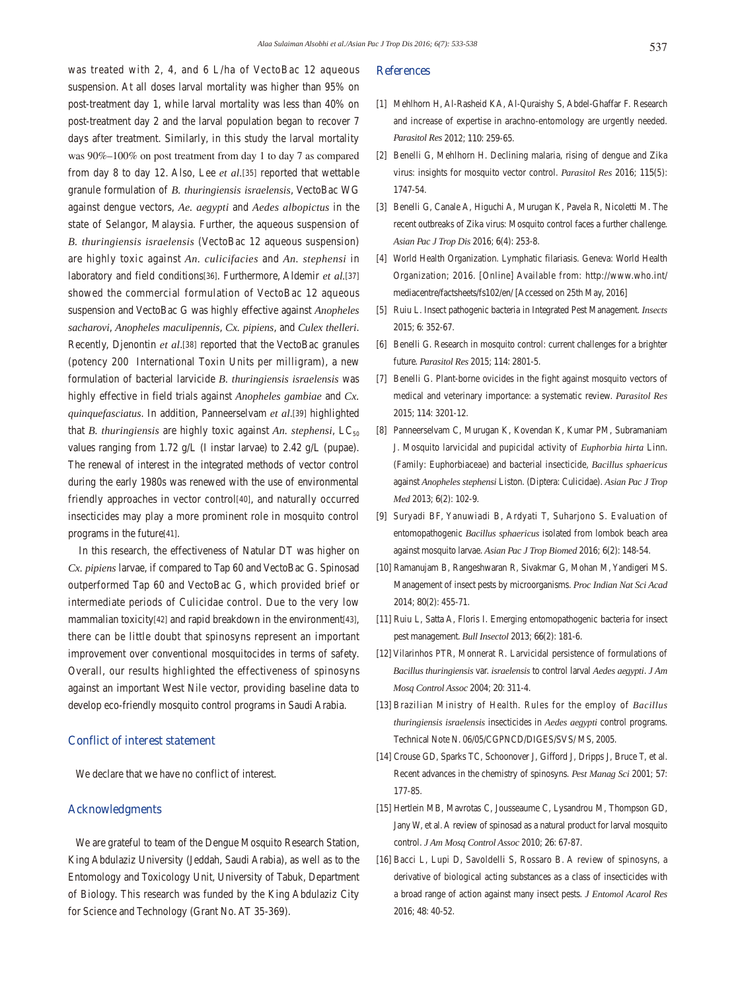was treated with 2, 4, and 6 L/ha of VectoBac 12 aqueous suspension. At all doses larval mortality was higher than 95% on post-treatment day 1, while larval mortality was less than 40% on post-treatment day 2 and the larval population began to recover 7 days after treatment. Similarly, in this study the larval mortality was 90%–100% on post treatment from day 1 to day 7 as compared from day 8 to day 12. Also, Lee *et al.*[35] reported that wettable granule formulation of *B. thuringiensis israelensis*, VectoBac WG against dengue vectors, *Ae. aegypti* and *Aedes albopictus* in the state of Selangor, Malaysia. Further, the aqueous suspension of *B. thuringiensis israelensis* (VectoBac 12 aqueous suspension) are highly toxic against *An. culicifacies* and *An. stephensi* in laboratory and field conditions[36]. Furthermore, Aldemir *et al.*[37] showed the commercial formulation of VectoBac 12 aqueous suspension and VectoBac G was highly effective against *Anopheles sacharovi*, *Anopheles maculipennis*, *Cx. pipiens*, and *Culex thelleri*. Recently, Djenontin *et al*.[38] reported that the VectoBac granules (potency 200 International Toxin Units per milligram), a new formulation of bacterial larvicide *B. thuringiensis israelensis* was highly effective in field trials against *Anopheles gambiae* and *Cx. quinquefasciatus*. In addition, Panneerselvam *et al*.[39] highlighted that *B. thuringiensis* are highly toxic against *An. stephensi*,  $LC_{50}$ values ranging from 1.72 g/L (I instar larvae) to 2.42 g/L (pupae). The renewal of interest in the integrated methods of vector control during the early 1980s was renewed with the use of environmental friendly approaches in vector control[40], and naturally occurred insecticides may play a more prominent role in mosquito control programs in the future[41].

 In this research, the effectiveness of Natular DT was higher on *Cx. pipiens* larvae, if compared to Tap 60 and VectoBac G. Spinosad outperformed Tap 60 and VectoBac G, which provided brief or intermediate periods of Culicidae control. Due to the very low mammalian toxicity[42] and rapid breakdown in the environment[43], there can be little doubt that spinosyns represent an important improvement over conventional mosquitocides in terms of safety. Overall, our results highlighted the effectiveness of spinosyns against an important West Nile vector, providing baseline data to develop eco-friendly mosquito control programs in Saudi Arabia.

# **Conflict of interest statement**

We declare that we have no conflict of interest.

# **Acknowledgments**

 We are grateful to team of the Dengue Mosquito Research Station, King Abdulaziz University (Jeddah, Saudi Arabia), as well as to the Entomology and Toxicology Unit, University of Tabuk, Department of Biology. This research was funded by the King Abdulaziz City for Science and Technology (Grant No. AT 35-369).

## **References**

- [1] Mehlhorn H, Al-Rasheid KA, Al-Quraishy S, Abdel-Ghaffar F. Research and increase of expertise in arachno-entomology are urgently needed. *Parasitol Res* 2012; **110**: 259-65.
- [2] Benelli G, Mehlhorn H. Declining malaria, rising of dengue and Zika virus: insights for mosquito vector control. *Parasitol Res* 2016; **115**(5): 1747-54.
- [3] Benelli G, Canale A, Higuchi A, Murugan K, Pavela R, Nicoletti M. The recent outbreaks of Zika virus: Mosquito control faces a further challenge. *Asian Pac J Trop Dis* 2016; **6**(4): 253-8.
- [4] World Health Organization. Lymphatic filariasis. Geneva: World Health Organization; 2016. [Online] Available from: http://www.who.int/ mediacentre/factsheets/fs102/en/ [Accessed on 25th May, 2016]
- [5] Ruiu L. Insect pathogenic bacteria in Integrated Pest Management. *Insects*  2015; **6**: 352-67.
- [6] Benelli G. Research in mosquito control: current challenges for a brighter future. *Parasitol Res* 2015; **114**: 2801-5.
- [7] Benelli G. Plant-borne ovicides in the fight against mosquito vectors of medical and veterinary importance: a systematic review. *Parasitol Res*  2015; **114**: 3201-12.
- [8] Panneerselvam C, Murugan K, Kovendan K, Kumar PM, Subramaniam J. Mosquito larvicidal and pupicidal activity of *Euphorbia hirta* Linn. (Family: Euphorbiaceae) and bacterial insecticide, *Bacillus sphaericus* against *Anopheles stephensi* Liston. (Diptera: Culicidae). *Asian Pac J Trop Med* 2013; **6**(2): 102-9.
- [9] Suryadi BF, Yanuwiadi B, Ardyati T, Suharjono S. Evaluation of entomopathogenic *Bacillus sphaericus* isolated from lombok beach area against mosquito larvae. *Asian Pac J Trop Biomed* 2016; **6**(2): 148-54.
- [10] Ramanujam B, Rangeshwaran R, Sivakmar G, Mohan M, Yandigeri MS. Management of insect pests by microorganisms. *Proc Indian Nat Sci Acad* 2014; **80**(2): 455-71.
- [11] Ruiu L, Satta A, Floris I. Emerging entomopathogenic bacteria for insect pest management. *Bull Insectol* 2013; **66**(2): 181-6.
- [12] Vilarinhos PTR, Monnerat R. Larvicidal persistence of formulations of *Bacillus thuringiensis* var. *israelensis* to control larval *Aedes aegypti*. *J Am Mosq Control Assoc* 2004; **20**: 311-4.
- [13] Brazilian Ministry of Health. Rules for the employ of *Bacillus thuringiensis israelensis* insecticides in *Aedes aegypti* control programs. Technical Note N. 06/05/CGPNCD/DIGES/SVS/ MS, 2005.
- [14] Crouse GD, Sparks TC, Schoonover J, Gifford J, Dripps J, Bruce T, et al. Recent advances in the chemistry of spinosyns. *Pest Manag Sci* 2001; **57**: 177-85.
- [15] Hertlein MB, Mavrotas C, Jousseaume C, Lysandrou M, Thompson GD, Jany W, et al. A review of spinosad as a natural product for larval mosquito control. *J Am Mosq Control Assoc* 2010; **26**: 67-87.
- [16] Bacci L, Lupi D, Savoldelli S, Rossaro B. A review of spinosyns, a derivative of biological acting substances as a class of insecticides with a broad range of action against many insect pests. *J Entomol Acarol Res*  2016; **48**: 40-52.